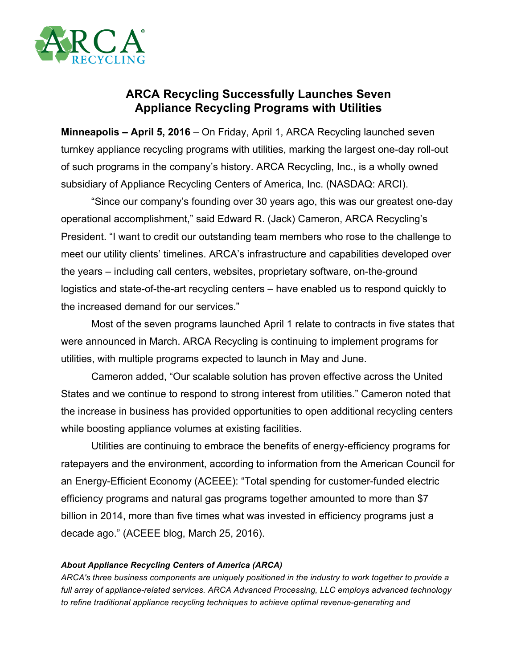

## **ARCA Recycling Successfully Launches Seven Appliance Recycling Programs with Utilities**

**Minneapolis – April 5, 2016** – On Friday, April 1, ARCA Recycling launched seven turnkey appliance recycling programs with utilities, marking the largest one-day roll-out of such programs in the company's history. ARCA Recycling, Inc., is a wholly owned subsidiary of Appliance Recycling Centers of America, Inc. (NASDAQ: ARCI).

"Since our company's founding over 30 years ago, this was our greatest one-day operational accomplishment," said Edward R. (Jack) Cameron, ARCA Recycling's President. "I want to credit our outstanding team members who rose to the challenge to meet our utility clients' timelines. ARCA's infrastructure and capabilities developed over the years – including call centers, websites, proprietary software, on-the-ground logistics and state-of-the-art recycling centers – have enabled us to respond quickly to the increased demand for our services."

Most of the seven programs launched April 1 relate to contracts in five states that were announced in March. ARCA Recycling is continuing to implement programs for utilities, with multiple programs expected to launch in May and June.

Cameron added, "Our scalable solution has proven effective across the United States and we continue to respond to strong interest from utilities." Cameron noted that the increase in business has provided opportunities to open additional recycling centers while boosting appliance volumes at existing facilities.

Utilities are continuing to embrace the benefits of energy-efficiency programs for ratepayers and the environment, according to information from the American Council for an Energy-Efficient Economy (ACEEE): "Total spending for customer-funded electric efficiency programs and natural gas programs together amounted to more than \$7 billion in 2014, more than five times what was invested in efficiency programs just a decade ago." (ACEEE blog, March 25, 2016).

## *About Appliance Recycling Centers of America (ARCA)*

*ARCA's three business components are uniquely positioned in the industry to work together to provide a full array of appliance-related services. ARCA Advanced Processing, LLC employs advanced technology to refine traditional appliance recycling techniques to achieve optimal revenue-generating and*